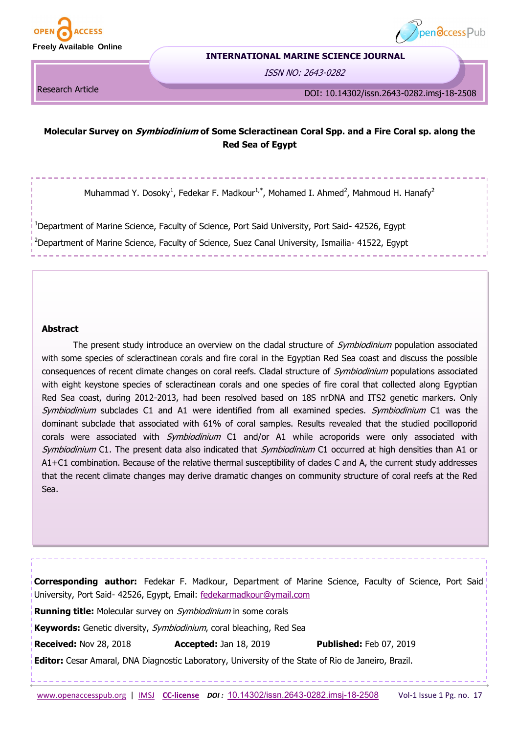



#### **INTERNATIONAL MARINE SCIENCE JOURNAL**

ISSN NO: 2643-0282

Research Article

DOI: 10.14302/issn.2643-0282.imsj-18-2508

# **Molecular Survey on Symbiodinium of Some Scleractinean Coral Spp. and a Fire Coral sp. along the Red Sea of Egypt**

Muhammad Y. Dosoky<sup>1</sup>, Fedekar F. Madkour<sup>1,\*</sup>, Mohamed I. Ahmed<sup>2</sup>, Mahmoud H. Hanafy<sup>2</sup>

<sup>1</sup>Department of Marine Science, Faculty of Science, Port Said University, Port Said- 42526, Egypt <sup>2</sup>Department of Marine Science, Faculty of Science, Suez Canal University, Ismailia- 41522, Egypt

## **Abstract**

The present study introduce an overview on the cladal structure of *Symbiodinium* population associated with some species of scleractinean corals and fire coral in the Egyptian Red Sea coast and discuss the possible consequences of recent climate changes on coral reefs. Cladal structure of Symbiodinium populations associated with eight keystone species of scleractinean corals and one species of fire coral that collected along Egyptian Red Sea coast, during 2012-2013, had been resolved based on 18S nrDNA and ITS2 genetic markers. Only Symbiodinium subclades C1 and A1 were identified from all examined species. Symbiodinium C1 was the dominant subclade that associated with 61% of coral samples. Results revealed that the studied pocilloporid corals were associated with *Symbiodinium* C1 and/or A1 while acroporids were only associated with Symbiodinium C1. The present data also indicated that Symbiodinium C1 occurred at high densities than A1 or A1+C1 combination. Because of the relative thermal susceptibility of clades C and A, the current study addresses that the recent climate changes may derive dramatic changes on community structure of coral reefs at the Red Sea.

 [www.openaccesspub.org](http://openaccesspub.org/) | [IMSJ](http://openaccesspub.org/journal/imsj) **CC-[license](https://openaccesspub.org/journal/imsj/copyright-license)** *DOI :* [10.14302/issn.2643](https://doi.org/10.14302/issn.2643-0282.imsj-18-2508)-0282.imsj-18-2508Vol-1 Issue 1 Pg. no. 17 **Corresponding author:** Fedekar F. Madkour, Department of Marine Science, Faculty of Science, Port Said University, Port Said- 42526, Egypt, Email: [fedekarmadkour@ymail.com](mailto:fedekarmadkour@ymail.com) **Running title:** Molecular survey on Symbiodinium in some corals **Keywords:** Genetic diversity, Symbiodinium, coral bleaching, Red Sea **Received:** Nov 28, 2018 **Accepted:** Jan 18, 2019 **Published:** Feb 07, 2019 **Editor:** Cesar Amaral, DNA Diagnostic Laboratory, University of the State of Rio de Janeiro, Brazil.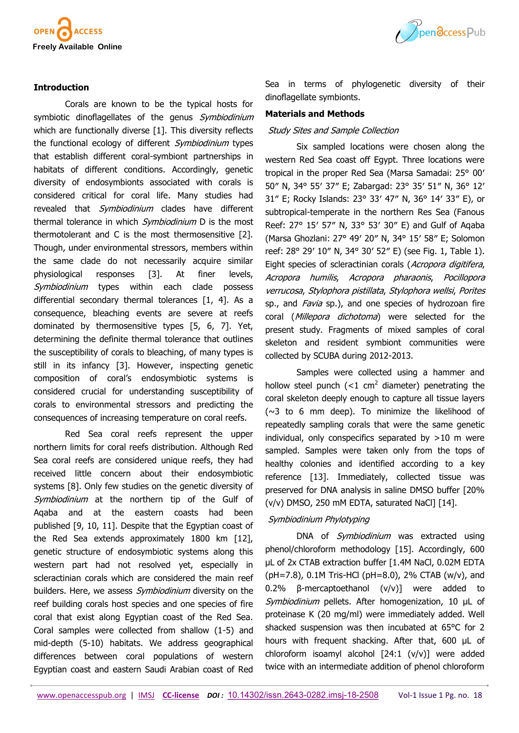

## **Introduction**

Corals are known to be the typical hosts for symbiotic dinoflagellates of the genus Symbiodinium which are functionally diverse [1]. This diversity reflects the functional ecology of different *Symbiodinium* types that establish different coral-symbiont partnerships in habitats of different conditions. Accordingly, genetic diversity of endosymbionts associated with corals is considered critical for coral life. Many studies had revealed that *Symbiodinium* clades have different thermal tolerance in which *Symbiodinium* D is the most thermotolerant and C is the most thermosensitive [2]. Though, under environmental stressors, members within the same clade do not necessarily acquire similar physiological responses [3]. At finer levels, Symbiodinium types within each clade possess differential secondary thermal tolerances [1, 4]. As a consequence, bleaching events are severe at reefs dominated by thermosensitive types [5, 6, 7]. Yet, determining the definite thermal tolerance that outlines the susceptibility of corals to bleaching, of many types is still in its infancy [3]. However, inspecting genetic composition of coral's endosymbiotic systems is considered crucial for understanding susceptibility of corals to environmental stressors and predicting the consequences of increasing temperature on coral reefs.

Red Sea coral reefs represent the upper northern limits for coral reefs distribution. Although Red Sea coral reefs are considered unique reefs, they had received little concern about their endosymbiotic systems [8]. Only few studies on the genetic diversity of Symbiodinium at the northern tip of the Gulf of Aqaba and at the eastern coasts had been published [9, 10, 11]. Despite that the Egyptian coast of the Red Sea extends approximately 1800 km [12], genetic structure of endosymbiotic systems along this western part had not resolved yet, especially in scleractinian corals which are considered the main reef builders. Here, we assess *Symbiodinium* diversity on the reef building corals host species and one species of fire coral that exist along Egyptian coast of the Red Sea. Coral samples were collected from shallow (1-5) and mid-depth (5-10) habitats. We address geographical differences between coral populations of western Egyptian coast and eastern Saudi Arabian coast of Red



Sea in terms of phylogenetic diversity of their dinoflagellate symbionts.

## **Materials and Methods**

#### Study Sites and Sample Collection

Six sampled locations were chosen along the western Red Sea coast off Egypt. Three locations were tropical in the proper Red Sea (Marsa Samadai: 25° 00′ 50″ N, 34° 55′ 37″ E; Zabargad: 23° 35′ 51″ N, 36° 12′ 31″ E; Rocky Islands: 23° 33′ 47″ N, 36° 14′ 33″ E), or subtropical-temperate in the northern Res Sea (Fanous Reef: 27° 15′ 57″ N, 33° 53′ 30″ E) and Gulf of Aqaba (Marsa Ghozlani: 27° 49′ 20″ N, 34° 15′ 58″ E; Solomon reef: 28° 29′ 10″ N, 34° 30′ 52″ E) (see Fig. 1, Table 1). Eight species of scleractinian corals (Acropora digitifera, Acropora humilis, Acropora pharaonis, Pocillopora verrucosa, Stylophora pistillata, Stylophora wellsi, Porites sp., and *Favia* sp.), and one species of hydrozoan fire coral (Millepora dichotoma) were selected for the present study. Fragments of mixed samples of coral skeleton and resident symbiont communities were collected by SCUBA during 2012-2013.

Samples were collected using a hammer and hollow steel punch  $\left($  <1 cm<sup>2</sup> diameter) penetrating the coral skeleton deeply enough to capture all tissue layers  $(\sim 3$  to 6 mm deep). To minimize the likelihood of repeatedly sampling corals that were the same genetic individual, only conspecifics separated by >10 m were sampled. Samples were taken only from the tops of healthy colonies and identified according to a key reference [13]. Immediately, collected tissue was preserved for DNA analysis in saline DMSO buffer [20% (v/v) DMSO, 250 mM EDTA, saturated NaCl] [14].

# Symbiodinium Phylotyping

DNA of *Symbiodinium* was extracted using phenol/chloroform methodology [15]. Accordingly, 600 µL of 2x CTAB extraction buffer [1.4M NaCl, 0.02M EDTA (pH=7.8), 0.1M Tris-HCl (pH=8.0), 2% CTAB (w/v), and 0.2% β-mercaptoethanol (v/v)] were added to Symbiodinium pellets. After homogenization, 10 µL of proteinase K (20 mg/ml) were immediately added. Well shacked suspension was then incubated at 65°C for 2 hours with frequent shacking. After that, 600 µL of chloroform isoamyl alcohol [24:1 (v/v)] were added twice with an intermediate addition of phenol chloroform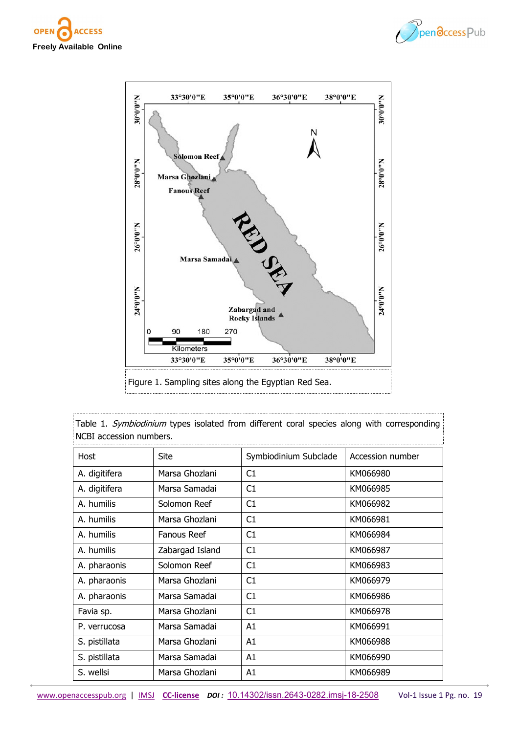





Table 1. Symbiodinium types isolated from different coral species along with corresponding NCBI accession numbers.

| Host          | <b>Site</b>        | Symbiodinium Subclade | Accession number |
|---------------|--------------------|-----------------------|------------------|
| A. digitifera | Marsa Ghozlani     | C1                    | KM066980         |
| A. digitifera | Marsa Samadai      | C1                    | KM066985         |
| A. humilis    | Solomon Reef       | C1                    | KM066982         |
| A. humilis    | Marsa Ghozlani     | C <sub>1</sub>        | KM066981         |
| A. humilis    | <b>Fanous Reef</b> | C1                    | KM066984         |
| A. humilis    | Zabargad Island    | C1                    | KM066987         |
| A. pharaonis  | Solomon Reef       | C1                    | KM066983         |
| A. pharaonis  | Marsa Ghozlani     | C1                    | KM066979         |
| A. pharaonis  | Marsa Samadai      | C1                    | KM066986         |
| Favia sp.     | Marsa Ghozlani     | C1                    | KM066978         |
| P. verrucosa  | Marsa Samadai      | A1                    | KM066991         |
| S. pistillata | Marsa Ghozlani     | A1                    | KM066988         |
| S. pistillata | Marsa Samadai      | A1                    | KM066990         |
| S. wellsi     | Marsa Ghozlani     | A1                    | KM066989         |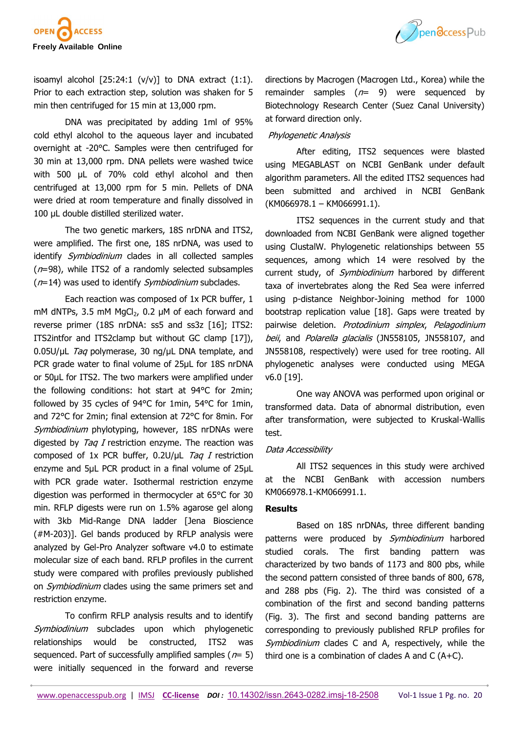

isoamyl alcohol  $[25:24:1 (v/v)]$  to DNA extract  $(1:1)$ . Prior to each extraction step, solution was shaken for 5 min then centrifuged for 15 min at 13,000 rpm.

DNA was precipitated by adding 1ml of 95% cold ethyl alcohol to the aqueous layer and incubated overnight at -20°C. Samples were then centrifuged for 30 min at 13,000 rpm. DNA pellets were washed twice with 500 µL of 70% cold ethyl alcohol and then centrifuged at 13,000 rpm for 5 min. Pellets of DNA were dried at room temperature and finally dissolved in 100 µL double distilled sterilized water.

The two genetic markers, 18S nrDNA and ITS2, were amplified. The first one, 18S nrDNA, was used to identify *Symbiodinium* clades in all collected samples  $(n=98)$ , while ITS2 of a randomly selected subsamples  $(n=14)$  was used to identify *Symbiodinium* subclades.

Each reaction was composed of 1x PCR buffer, 1 mM dNTPs, 3.5 mM  $MqCl<sub>2</sub>$ , 0.2 µM of each forward and reverse primer (18S nrDNA: ss5 and ss3z [16]; ITS2: ITS2intfor and ITS2clamp but without GC clamp [17]),  $0.05$ U/µL *Taq* polymerase, 30 ng/µL DNA template, and PCR grade water to final volume of 25µL for 18S nrDNA or 50µL for ITS2. The two markers were amplified under the following conditions: hot start at 94°C for 2min; followed by 35 cycles of 94°C for 1min, 54°C for 1min, and 72°C for 2min; final extension at 72°C for 8min. For Symbiodinium phylotyping, however, 18S nrDNAs were digested by  $TaqI$  restriction enzyme. The reaction was composed of 1x PCR buffer,  $0.2$ U/ $\mu$ L Taq I restriction enzyme and 5µL PCR product in a final volume of 25µL with PCR grade water. Isothermal restriction enzyme digestion was performed in thermocycler at 65°C for 30 min. RFLP digests were run on 1.5% agarose gel along with 3kb Mid-Range DNA ladder [Jena Bioscience (#M-203)]. Gel bands produced by RFLP analysis were analyzed by Gel-Pro Analyzer software v4.0 to estimate molecular size of each band. RFLP profiles in the current study were compared with profiles previously published on *Symbiodinium* clades using the same primers set and restriction enzyme.

To confirm RFLP analysis results and to identify Symbiodinium subclades upon which phylogenetic relationships would be constructed, ITS2 was sequenced. Part of successfully amplified samples ( $n= 5$ ) were initially sequenced in the forward and reverse

directions by Macrogen (Macrogen Ltd., Korea) while the remainder samples  $(n= 9)$  were sequenced by Biotechnology Research Center (Suez Canal University) at forward direction only.

#### Phylogenetic Analysis

After editing, ITS2 sequences were blasted using MEGABLAST on NCBI GenBank under default algorithm parameters. All the edited ITS2 sequences had been submitted and archived in NCBI GenBank  $(KM066978.1 - KM066991.1).$ 

ITS2 sequences in the current study and that downloaded from NCBI GenBank were aligned together using ClustalW. Phylogenetic relationships between 55 sequences, among which 14 were resolved by the current study, of *Symbiodinium* harbored by different taxa of invertebrates along the Red Sea were inferred using p-distance Neighbor-Joining method for 1000 bootstrap replication value [18]. Gaps were treated by pairwise deletion. Protodinium simplex, Pelagodinium beii, and Polarella glacialis (JN558105, JN558107, and JN558108, respectively) were used for tree rooting. All phylogenetic analyses were conducted using MEGA v6.0 [19].

One way ANOVA was performed upon original or transformed data. Data of abnormal distribution, even after transformation, were subjected to Kruskal-Wallis test.

#### Data Accessibility

All ITS2 sequences in this study were archived at the NCBI GenBank with accession numbers KM066978.1-KM066991.1.

# **Results**

Based on 18S nrDNAs, three different banding patterns were produced by Symbiodinium harbored studied corals. The first banding pattern was characterized by two bands of 1173 and 800 pbs, while the second pattern consisted of three bands of 800, 678, and 288 pbs (Fig. 2). The third was consisted of a combination of the first and second banding patterns (Fig. 3). The first and second banding patterns are corresponding to previously published RFLP profiles for Symbiodinium clades C and A, respectively, while the third one is a combination of clades A and C (A+C).

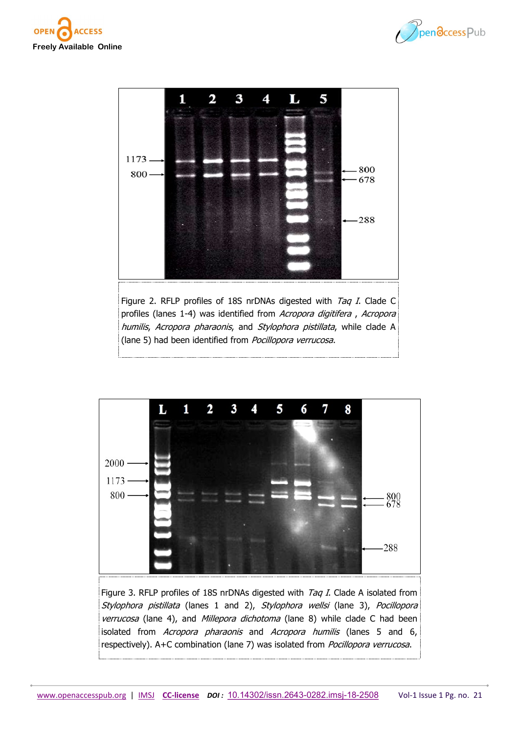







Figure 3. RFLP profiles of 18S nrDNAs digested with  $Tag I$ . Clade A isolated from Stylophora pistillata (lanes 1 and 2), Stylophora wellsi (lane 3), Pocillopora verrucosa (lane 4), and Millepora dichotoma (lane 8) while clade C had been isolated from Acropora pharaonis and Acropora humilis (lanes 5 and 6, respectively). A+C combination (lane 7) was isolated from *Pocillopora verrucosa*.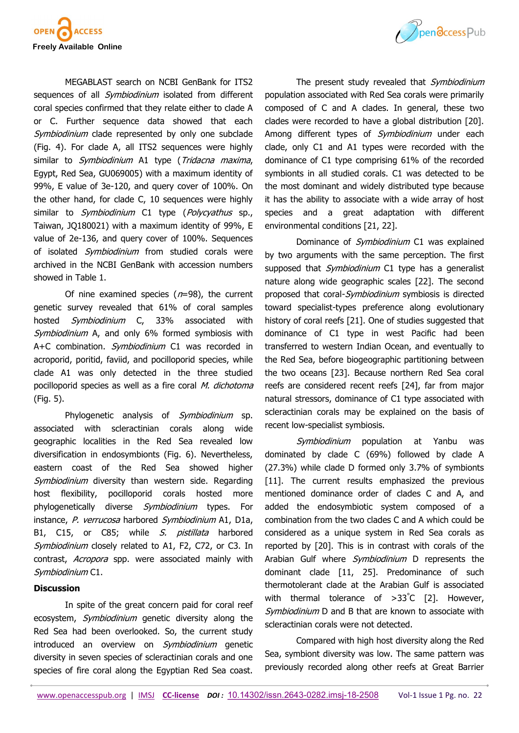

MEGABLAST search on NCBI GenBank for ITS2 sequences of all *Symbiodinium* isolated from different coral species confirmed that they relate either to clade A or C. Further sequence data showed that each Symbiodinium clade represented by only one subclade (Fig. 4). For clade A, all ITS2 sequences were highly similar to *Symbiodinium* A1 type (Tridacna maxima, Egypt, Red Sea, GU069005) with a maximum identity of 99%, E value of 3e-120, and query cover of 100%. On the other hand, for clade C, 10 sequences were highly similar to *Symbiodinium* C1 type (*Polycyathus* sp., Taiwan, JQ180021) with a maximum identity of 99%, E value of 2e-136, and query cover of 100%. Sequences of isolated Symbiodinium from studied corals were archived in the NCBI GenBank with accession numbers showed in Table 1.

Of nine examined species  $(n=98)$ , the current genetic survey revealed that 61% of coral samples hosted Symbiodinium C, 33% associated with Symbiodinium A, and only 6% formed symbiosis with A+C combination. Symbiodinium C1 was recorded in acroporid, poritid, faviid, and pocilloporid species, while clade A1 was only detected in the three studied pocilloporid species as well as a fire coral M. dichotoma (Fig. 5).

Phylogenetic analysis of Symbiodinium sp. associated with scleractinian corals along wide geographic localities in the Red Sea revealed low diversification in endosymbionts (Fig. 6). Nevertheless, eastern coast of the Red Sea showed higher Symbiodinium diversity than western side. Regarding host flexibility, pocilloporid corals hosted more phylogenetically diverse Symbiodinium types. For instance, P. verrucosa harbored Symbiodinium A1, D1a, B1, C15, or C85; while S. pistillata harbored Symbiodinium closely related to A1, F2, C72, or C3. In contrast, *Acropora* spp. were associated mainly with Symbiodinium C1.

#### **Discussion**

In spite of the great concern paid for coral reef ecosystem, Symbiodinium genetic diversity along the Red Sea had been overlooked. So, the current study introduced an overview on *Symbiodinium* genetic diversity in seven species of scleractinian corals and one species of fire coral along the Egyptian Red Sea coast.



The present study revealed that Symbiodinium population associated with Red Sea corals were primarily composed of C and A clades. In general, these two clades were recorded to have a global distribution [20]. Among different types of *Symbiodinium* under each clade, only C1 and A1 types were recorded with the dominance of C1 type comprising 61% of the recorded symbionts in all studied corals. C1 was detected to be the most dominant and widely distributed type because it has the ability to associate with a wide array of host species and a great adaptation with different environmental conditions [21, 22].

Dominance of *Symbiodinium* C1 was explained by two arguments with the same perception. The first supposed that *Symbiodinium* C1 type has a generalist nature along wide geographic scales [22]. The second proposed that coral-Symbiodinium symbiosis is directed toward specialist-types preference along evolutionary history of coral reefs [21]. One of studies suggested that dominance of C1 type in west Pacific had been transferred to western Indian Ocean, and eventually to the Red Sea, before biogeographic partitioning between the two oceans [23]. Because northern Red Sea coral reefs are considered recent reefs [24], far from major natural stressors, dominance of C1 type associated with scleractinian corals may be explained on the basis of recent low-specialist symbiosis.

Symbiodinium population at Yanbu was dominated by clade C (69%) followed by clade A (27.3%) while clade D formed only 3.7% of symbionts [11]. The current results emphasized the previous mentioned dominance order of clades C and A, and added the endosymbiotic system composed of a combination from the two clades C and A which could be considered as a unique system in Red Sea corals as reported by [20]. This is in contrast with corals of the Arabian Gulf where *Symbiodinium* D represents the dominant clade [11, 25]. Predominance of such thermotolerant clade at the Arabian Gulf is associated with thermal tolerance of >33°C [2]. However, Symbiodinium D and B that are known to associate with scleractinian corals were not detected.

Compared with high host diversity along the Red Sea, symbiont diversity was low. The same pattern was previously recorded along other reefs at Great Barrier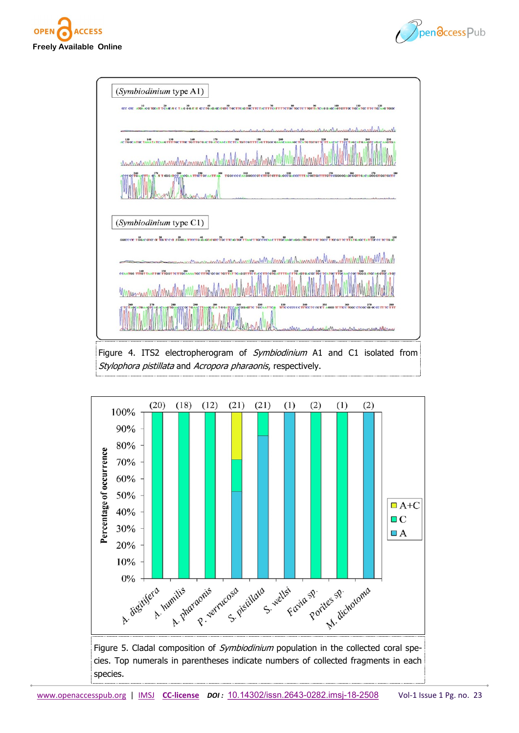



| (Symbiodinium type A1)                                                                                                                                                                                                                                         |
|----------------------------------------------------------------------------------------------------------------------------------------------------------------------------------------------------------------------------------------------------------------|
| $\alpha$ α $\alpha$ $\alpha$ $\alpha$ τα τα τ τ ελαί π ε τ καθά π π α ε τα και από τα τ του ο τά τ τα κετά τητα τα τα τα π π π και ακαλύσει τα τα π π τα τα π και π α τα π απλιστασ                                                                            |
| Marchmanhammerhan                                                                                                                                                                                                                                              |
| ACTOCATOC TANATATCAAGTITTOCTTOC TOT TOTOACTO ATCAACATCTCA TOTCOTTTCAGTTOOCQAAAAGCTCATOTOTTOTTCTTAACACTTCCTAGCATOAAGTCAGAGTOO.                                                                                                                                  |
| Mahmhanh                                                                                                                                                                                                                                                       |
|                                                                                                                                                                                                                                                                |
| (Symbiodinium type C1)<br><b>OCCUPATION CONTRACT AND ACCOUNT DESCRIPTION OF A REPORT OF A REPORT OF A REPORT OF A REPORT OF A REPORT OF A REPORT OF A REPORT OF A REPORT OF A REPORT OF A REPORT OF A REPORT OF A REPORT OF A REPORT OF A REPORT OF A REPO</b> |
| mille hank Margaren rombinal                                                                                                                                                                                                                                   |
| A TOO THAT TO A THOT TO CAAAATOC TITO GCGC TOT TAT TCAG GTTTC TAC C TEGTOATTTTAC TTO AGTOC TOC TCATGC TTOCAAC CGC TOG AATOC AG CTGC TAG AT OC                                                                                                                  |
| AAGTGA<br>CCCOCTOAAC<br>reclared Marsh Marsh nursac Marse                                                                                                                                                                                                      |
| Figure 4. ITS2 electropherogram of <i>Symbiodinium</i> A1 and C1 isolated from<br>Stylophora pistillata and Acropora pharaonis, respectively.                                                                                                                  |

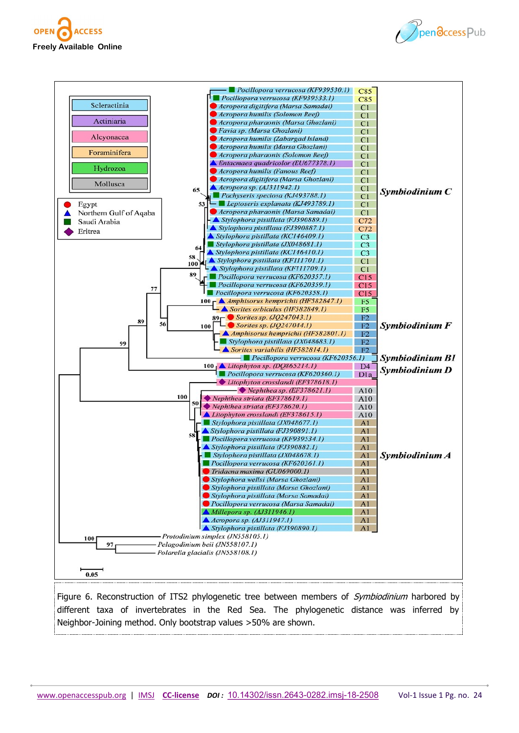





Figure 6. Reconstruction of ITS2 phylogenetic tree between members of *Symbiodinium* harbored by different taxa of invertebrates in the Red Sea. The phylogenetic distance was inferred by Neighbor-Joining method. Only bootstrap values >50% are shown.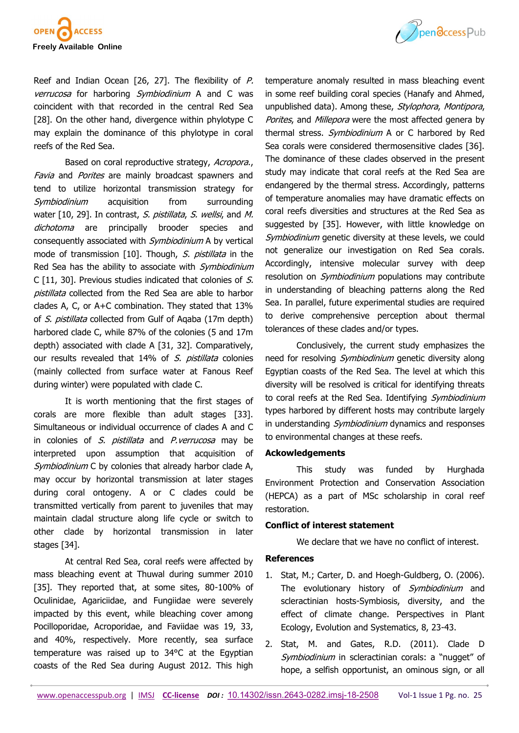

Reef and Indian Ocean [26, 27]. The flexibility of P. verrucosa for harboring Symbiodinium A and C was coincident with that recorded in the central Red Sea [28]. On the other hand, divergence within phylotype C may explain the dominance of this phylotype in coral reefs of the Red Sea.

Based on coral reproductive strategy, Acropora., Favia and Porites are mainly broadcast spawners and tend to utilize horizontal transmission strategy for Symbiodinium acquisition from surrounding water [10, 29]. In contrast, S. pistillata, S. wellsi, and M. dichotoma are principally brooder species and consequently associated with *Symbiodinium* A by vertical mode of transmission [10]. Though, S. pistillata in the Red Sea has the ability to associate with Symbiodinium C [11, 30]. Previous studies indicated that colonies of S. pistillata collected from the Red Sea are able to harbor clades A, C, or A+C combination. They stated that 13% of S. pistillata collected from Gulf of Agaba (17m depth) harbored clade C, while 87% of the colonies (5 and 17m depth) associated with clade A [31, 32]. Comparatively, our results revealed that 14% of S. pistillata colonies (mainly collected from surface water at Fanous Reef during winter) were populated with clade C.

It is worth mentioning that the first stages of corals are more flexible than adult stages [33]. Simultaneous or individual occurrence of clades A and C in colonies of S. pistillata and P. verrucosa may be interpreted upon assumption that acquisition of Symbiodinium C by colonies that already harbor clade A, may occur by horizontal transmission at later stages during coral ontogeny. A or C clades could be transmitted vertically from parent to juveniles that may maintain cladal structure along life cycle or switch to other clade by horizontal transmission in later stages [34].

At central Red Sea, coral reefs were affected by mass bleaching event at Thuwal during summer 2010 [35]. They reported that, at some sites, 80-100% of Oculinidae, Agariciidae, and Fungiidae were severely impacted by this event, while bleaching cover among Pocilloporidae, Acroporidae, and Faviidae was 19, 33, and 40%, respectively. More recently, sea surface temperature was raised up to 34°C at the Egyptian coasts of the Red Sea during August 2012. This high

temperature anomaly resulted in mass bleaching event in some reef building coral species (Hanafy and Ahmed, unpublished data). Among these, Stylophora, Montipora, Porites, and Millepora were the most affected genera by thermal stress. *Symbiodinium* A or C harbored by Red Sea corals were considered thermosensitive clades [36]. The dominance of these clades observed in the present study may indicate that coral reefs at the Red Sea are endangered by the thermal stress. Accordingly, patterns of temperature anomalies may have dramatic effects on coral reefs diversities and structures at the Red Sea as suggested by [35]. However, with little knowledge on Symbiodinium genetic diversity at these levels, we could not generalize our investigation on Red Sea corals. Accordingly, intensive molecular survey with deep resolution on *Symbiodinium* populations may contribute in understanding of bleaching patterns along the Red Sea. In parallel, future experimental studies are required to derive comprehensive perception about thermal tolerances of these clades and/or types.

Conclusively, the current study emphasizes the need for resolving *Symbiodinium* genetic diversity along Egyptian coasts of the Red Sea. The level at which this diversity will be resolved is critical for identifying threats to coral reefs at the Red Sea. Identifying Symbiodinium types harbored by different hosts may contribute largely in understanding *Symbiodinium* dynamics and responses to environmental changes at these reefs.

## **Ackowledgements**

This study was funded by Hurghada Environment Protection and Conservation Association (HEPCA) as a part of MSc scholarship in coral reef restoration.

#### **Conflict of interest statement**

We declare that we have no conflict of interest.

#### **References**

- 1. Stat, M.; Carter, D. and Hoegh-Guldberg, O. (2006). The evolutionary history of Symbiodinium and scleractinian hosts-Symbiosis, diversity, and the effect of climate change. Perspectives in Plant Ecology, Evolution and Systematics, 8, 23-43.
- 2. Stat, M. and Gates, R.D. (2011). Clade D Symbiodinium in scleractinian corals: a "nugget" of hope, a selfish opportunist, an ominous sign, or all

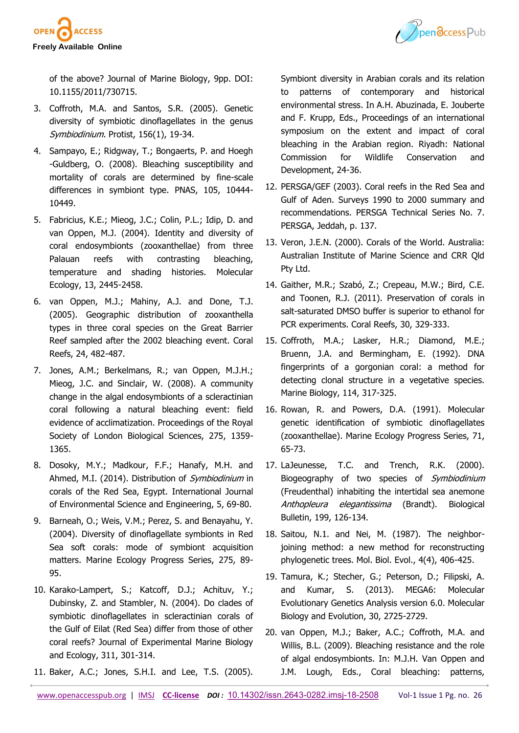

Ppendccess Pub

of the above? Journal of Marine Biology, 9pp. DOI: 10.1155/2011/730715.

- 3. Coffroth, M.A. and Santos, S.R. (2005). Genetic diversity of symbiotic dinoflagellates in the genus Symbiodinium. Protist, 156(1), 19-34.
- 4. Sampayo, E.; Ridgway, T.; Bongaerts, P. and Hoegh -Guldberg, O. (2008). Bleaching susceptibility and mortality of corals are determined by fine-scale differences in symbiont type. PNAS, 105, 10444- 10449.
- 5. Fabricius, K.E.; Mieog, J.C.; Colin, P.L.; Idip, D. and van Oppen, M.J. (2004). Identity and diversity of coral endosymbionts (zooxanthellae) from three Palauan reefs with contrasting bleaching, temperature and shading histories. Molecular Ecology, 13, 2445-2458.
- 6. van Oppen, M.J.; Mahiny, A.J. and Done, T.J. (2005). Geographic distribution of zooxanthella types in three coral species on the Great Barrier Reef sampled after the 2002 bleaching event. Coral Reefs, 24, 482-487.
- 7. Jones, A.M.; Berkelmans, R.; van Oppen, M.J.H.; Mieog, J.C. and Sinclair, W. (2008). A community change in the algal endosymbionts of a scleractinian coral following a natural bleaching event: field evidence of acclimatization. Proceedings of the Royal Society of London Biological Sciences, 275, 1359- 1365.
- 8. Dosoky, M.Y.; Madkour, F.F.; Hanafy, M.H. and Ahmed, M.I. (2014). Distribution of Symbiodinium in corals of the Red Sea, Egypt. International Journal of Environmental Science and Engineering, 5, 69-80.
- 9. Barneah, O.; Weis, V.M.; Perez, S. and Benayahu, Y. (2004). Diversity of dinoflagellate symbionts in Red Sea soft corals: mode of symbiont acquisition matters. Marine Ecology Progress Series, 275, 89- 95.
- 10. Karako-Lampert, S.; Katcoff, D.J.; Achituv, Y.; Dubinsky, Z. and Stambler, N. (2004). Do clades of symbiotic dinoflagellates in scleractinian corals of the Gulf of Eilat (Red Sea) differ from those of other coral reefs? Journal of Experimental Marine Biology and Ecology, 311, 301-314.
- 11. Baker, A.C.; Jones, S.H.I. and Lee, T.S. (2005).

Symbiont diversity in Arabian corals and its relation to patterns of contemporary and historical environmental stress. In A.H. Abuzinada, E. Jouberte and F. Krupp, Eds., Proceedings of an international symposium on the extent and impact of coral bleaching in the Arabian region. Riyadh: National Commission for Wildlife Conservation and Development, 24-36.

- 12. PERSGA/GEF (2003). Coral reefs in the Red Sea and Gulf of Aden. Surveys 1990 to 2000 summary and recommendations. PERSGA Technical Series No. 7. PERSGA, Jeddah, p. 137.
- 13. Veron, J.E.N. (2000). Corals of the World. Australia: Australian Institute of Marine Science and CRR Qld Pty Ltd.
- 14. Gaither, M.R.; Szabó, Z.; Crepeau, M.W.; Bird, C.E. and Toonen, R.J. (2011). Preservation of corals in salt-saturated DMSO buffer is superior to ethanol for PCR experiments. Coral Reefs, 30, 329-333.
- 15. Coffroth, M.A.; Lasker, H.R.; Diamond, M.E.; Bruenn, J.A. and Bermingham, E. (1992). DNA fingerprints of a gorgonian coral: a method for detecting clonal structure in a vegetative species. Marine Biology, 114, 317-325.
- 16. Rowan, R. and Powers, D.A. (1991). Molecular genetic identification of symbiotic dinoflagellates (zooxanthellae). Marine Ecology Progress Series, 71, 65-73.
- 17. LaJeunesse, T.C. and Trench, R.K. (2000). Biogeography of two species of Symbiodinium (Freudenthal) inhabiting the intertidal sea anemone Anthopleura elegantissima (Brandt). Biological Bulletin, 199, 126-134.
- 18. Saitou, N.1. and Nei, M. (1987). The neighborjoining method: a new method for reconstructing phylogenetic trees. Mol. Biol. Evol., 4(4), 406-425.
- 19. Tamura, K.; Stecher, G.; Peterson, D.; Filipski, A. and Kumar, S. (2013). MEGA6: Molecular Evolutionary Genetics Analysis version 6.0. Molecular Biology and Evolution, 30, 2725-2729.
- 20. van Oppen, M.J.; Baker, A.C.; Coffroth, M.A. and Willis, B.L. (2009). Bleaching resistance and the role of algal endosymbionts. In: M.J.H. Van Oppen and J.M. Lough, Eds., Coral bleaching: patterns,